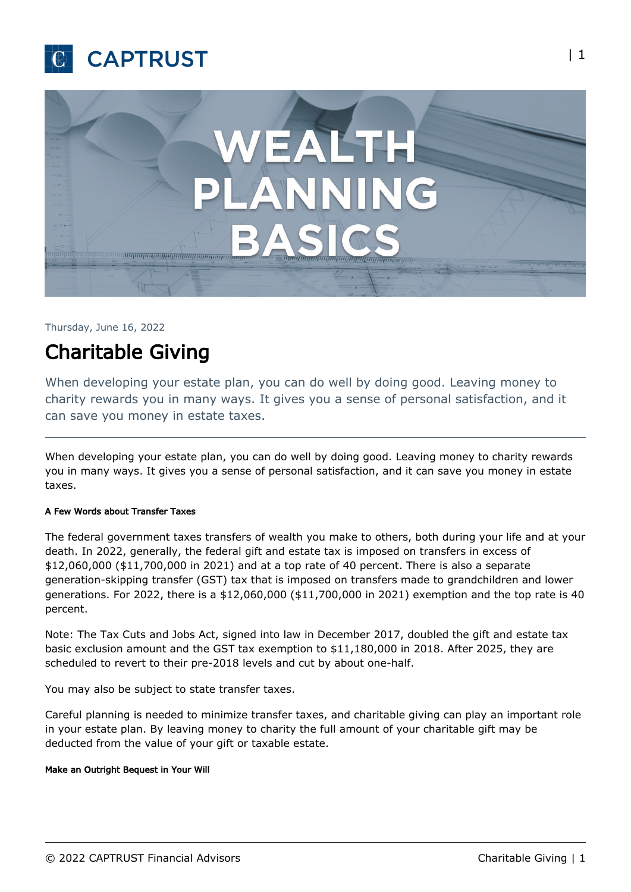



Thursday, June 16, 2022

# Charitable Giving

When developing your estate plan, you can do well by doing good. Leaving money to charity rewards you in many ways. It gives you a sense of personal satisfaction, and it can save you money in estate taxes.

When developing your estate plan, you can do well by doing good. Leaving money to charity rewards you in many ways. It gives you a sense of personal satisfaction, and it can save you money in estate taxes.

# A Few Words about Transfer Taxes

The federal government taxes transfers of wealth you make to others, both during your life and at your death. In 2022, generally, the federal gift and estate tax is imposed on transfers in excess of \$12,060,000 (\$11,700,000 in 2021) and at a top rate of 40 percent. There is also a separate generation-skipping transfer (GST) tax that is imposed on transfers made to grandchildren and lower generations. For 2022, there is a \$12,060,000 (\$11,700,000 in 2021) exemption and the top rate is 40 percent.

Note: The Tax Cuts and Jobs Act, signed into law in December 2017, doubled the gift and estate tax basic exclusion amount and the GST tax exemption to \$11,180,000 in 2018. After 2025, they are scheduled to revert to their pre-2018 levels and cut by about one-half.

You may also be subject to state transfer taxes.

Careful planning is needed to minimize transfer taxes, and charitable giving can play an important role in your estate plan. By leaving money to charity the full amount of your charitable gift may be deducted from the value of your gift or taxable estate.

#### Make an Outright Bequest in Your Will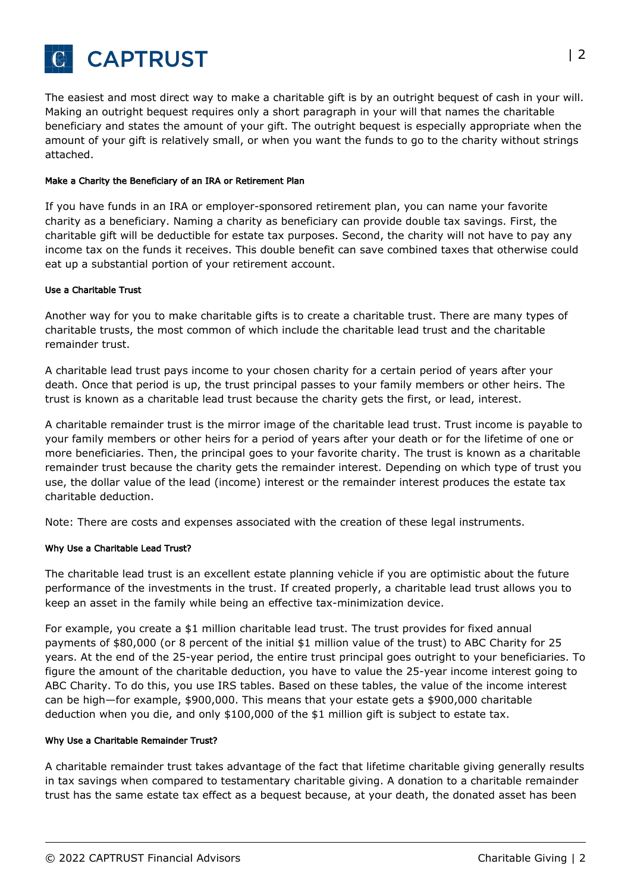

The easiest and most direct way to make a charitable gift is by an outright bequest of cash in your will. Making an outright bequest requires only a short paragraph in your will that names the charitable beneficiary and states the amount of your gift. The outright bequest is especially appropriate when the amount of your gift is relatively small, or when you want the funds to go to the charity without strings attached.

## Make a Charity the Beneficiary of an IRA or Retirement Plan

If you have funds in an IRA or employer-sponsored retirement plan, you can name your favorite charity as a beneficiary. Naming a charity as beneficiary can provide double tax savings. First, the charitable gift will be deductible for estate tax purposes. Second, the charity will not have to pay any income tax on the funds it receives. This double benefit can save combined taxes that otherwise could eat up a substantial portion of your retirement account.

## Use a Charitable Trust

Another way for you to make charitable gifts is to create a charitable trust. There are many types of charitable trusts, the most common of which include the charitable lead trust and the charitable remainder trust.

A charitable lead trust pays income to your chosen charity for a certain period of years after your death. Once that period is up, the trust principal passes to your family members or other heirs. The trust is known as a charitable lead trust because the charity gets the first, or lead, interest.

A charitable remainder trust is the mirror image of the charitable lead trust. Trust income is payable to your family members or other heirs for a period of years after your death or for the lifetime of one or more beneficiaries. Then, the principal goes to your favorite charity. The trust is known as a charitable remainder trust because the charity gets the remainder interest. Depending on which type of trust you use, the dollar value of the lead (income) interest or the remainder interest produces the estate tax charitable deduction.

Note: There are costs and expenses associated with the creation of these legal instruments.

#### Why Use a Charitable Lead Trust?

The charitable lead trust is an excellent estate planning vehicle if you are optimistic about the future performance of the investments in the trust. If created properly, a charitable lead trust allows you to keep an asset in the family while being an effective tax-minimization device.

For example, you create a \$1 million charitable lead trust. The trust provides for fixed annual payments of \$80,000 (or 8 percent of the initial \$1 million value of the trust) to ABC Charity for 25 years. At the end of the 25-year period, the entire trust principal goes outright to your beneficiaries. To figure the amount of the charitable deduction, you have to value the 25-year income interest going to ABC Charity. To do this, you use IRS tables. Based on these tables, the value of the income interest can be high—for example, \$900,000. This means that your estate gets a \$900,000 charitable deduction when you die, and only \$100,000 of the \$1 million gift is subject to estate tax.

#### Why Use a Charitable Remainder Trust?

A charitable remainder trust takes advantage of the fact that lifetime charitable giving generally results in tax savings when compared to testamentary charitable giving. A donation to a charitable remainder trust has the same estate tax effect as a bequest because, at your death, the donated asset has been